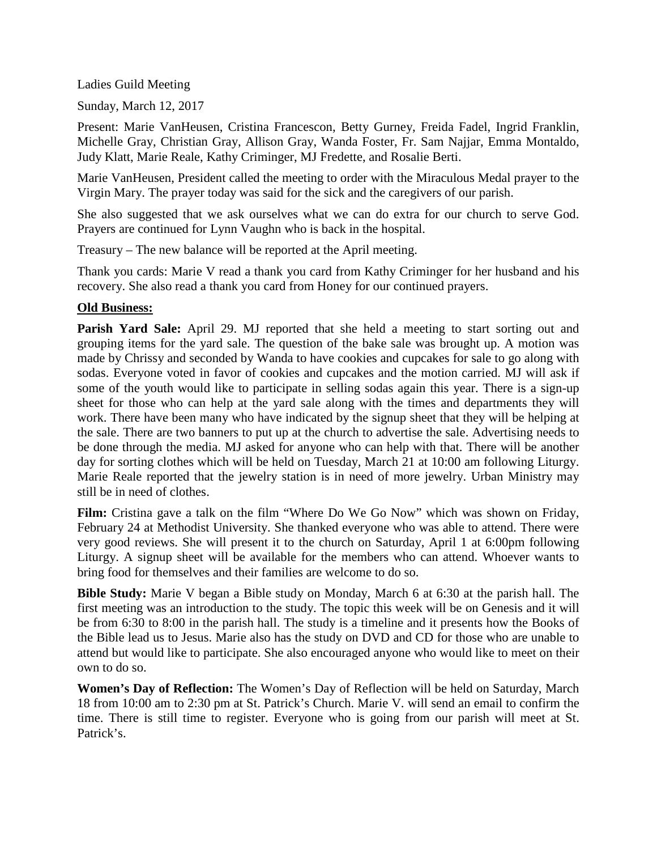Ladies Guild Meeting

Sunday, March 12, 2017

Present: Marie VanHeusen, Cristina Francescon, Betty Gurney, Freida Fadel, Ingrid Franklin, Michelle Gray, Christian Gray, Allison Gray, Wanda Foster, Fr. Sam Najjar, Emma Montaldo, Judy Klatt, Marie Reale, Kathy Criminger, MJ Fredette, and Rosalie Berti.

Marie VanHeusen, President called the meeting to order with the Miraculous Medal prayer to the Virgin Mary. The prayer today was said for the sick and the caregivers of our parish.

She also suggested that we ask ourselves what we can do extra for our church to serve God. Prayers are continued for Lynn Vaughn who is back in the hospital.

Treasury – The new balance will be reported at the April meeting.

Thank you cards: Marie V read a thank you card from Kathy Criminger for her husband and his recovery. She also read a thank you card from Honey for our continued prayers.

## **Old Business:**

**Parish Yard Sale:** April 29. MJ reported that she held a meeting to start sorting out and grouping items for the yard sale. The question of the bake sale was brought up. A motion was made by Chrissy and seconded by Wanda to have cookies and cupcakes for sale to go along with sodas. Everyone voted in favor of cookies and cupcakes and the motion carried. MJ will ask if some of the youth would like to participate in selling sodas again this year. There is a sign-up sheet for those who can help at the yard sale along with the times and departments they will work. There have been many who have indicated by the signup sheet that they will be helping at the sale. There are two banners to put up at the church to advertise the sale. Advertising needs to be done through the media. MJ asked for anyone who can help with that. There will be another day for sorting clothes which will be held on Tuesday, March 21 at 10:00 am following Liturgy. Marie Reale reported that the jewelry station is in need of more jewelry. Urban Ministry may still be in need of clothes.

Film: Cristina gave a talk on the film "Where Do We Go Now" which was shown on Friday, February 24 at Methodist University. She thanked everyone who was able to attend. There were very good reviews. She will present it to the church on Saturday, April 1 at 6:00pm following Liturgy. A signup sheet will be available for the members who can attend. Whoever wants to bring food for themselves and their families are welcome to do so.

**Bible Study:** Marie V began a Bible study on Monday, March 6 at 6:30 at the parish hall. The first meeting was an introduction to the study. The topic this week will be on Genesis and it will be from 6:30 to 8:00 in the parish hall. The study is a timeline and it presents how the Books of the Bible lead us to Jesus. Marie also has the study on DVD and CD for those who are unable to attend but would like to participate. She also encouraged anyone who would like to meet on their own to do so.

**Women's Day of Reflection:** The Women's Day of Reflection will be held on Saturday, March 18 from 10:00 am to 2:30 pm at St. Patrick's Church. Marie V. will send an email to confirm the time. There is still time to register. Everyone who is going from our parish will meet at St. Patrick's.